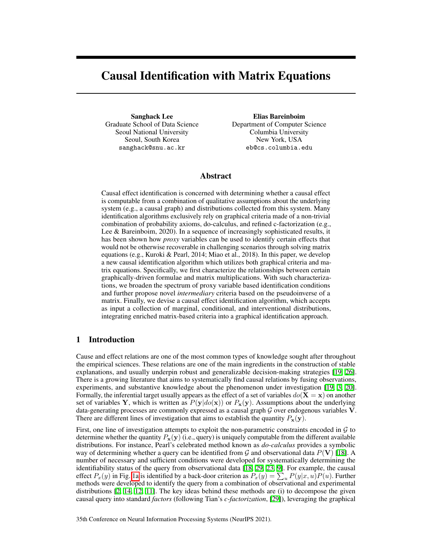# Causal Identification with Matrix Equations

Sanghack Lee Graduate School of Data Science Seoul National University Seoul, South Korea sanghack@snu.ac.kr

Elias Bareinboim Department of Computer Science Columbia University New York, USA eb@cs.columbia.edu

# Abstract

Causal effect identification is concerned with determining whether a causal effect is computable from a combination of qualitative assumptions about the underlying system (e.g., a causal graph) and distributions collected from this system. Many identification algorithms exclusively rely on graphical criteria made of a non-trivial combination of probability axioms, do-calculus, and refined c-factorization (e.g., Lee & Bareinboim, 2020). In a sequence of increasingly sophisticated results, it has been shown how *proxy* variables can be used to identify certain effects that would not be otherwise recoverable in challenging scenarios through solving matrix equations (e.g., Kuroki & Pearl, 2014; Miao et al., 2018). In this paper, we develop a new causal identification algorithm which utilizes both graphical criteria and matrix equations. Specifically, we first characterize the relationships between certain graphically-driven formulae and matrix multiplications. With such characterizations, we broaden the spectrum of proxy variable based identification conditions and further propose novel *intermediary* criteria based on the pseudoinverse of a matrix. Finally, we devise a causal effect identification algorithm, which accepts as input a collection of marginal, conditional, and interventional distributions, integrating enriched matrix-based criteria into a graphical identification approach.

# <span id="page-0-1"></span>1 Introduction

Cause and effect relations are one of the most common types of knowledge sought after throughout the empirical sciences. These relations are one of the main ingredients in the construction of stable explanations, and usually underpin robust and generalizable decision-making strategies  $[19, 26]$  $[19, 26]$  $[19, 26]$ . There is a growing literature that aims to systematically find causal relations by fusing observations, experiments, and substantive knowledge about the phenomenon under investigation  $[19, 3, 20]$  $[19, 3, 20]$  $[19, 3, 20]$  $[19, 3, 20]$  $[19, 3, 20]$ . Formally, the inferential target usually appears as the effect of a set of variables  $do(X = x)$  on another set of variables Y, which is written as  $P(y|do(x))$  or  $P_x(y)$ . Assumptions about the underlying data-generating processes are commonly expressed as a causal graph *G* over endogenous variables V. There are different lines of investigation that aims to establish the quantity  $P_x(y)$ .

<span id="page-0-0"></span>First, one line of investigation attempts to exploit the non-parametric constraints encoded in *G* to determine whether the quantity  $P_x(y)$  (i.e., query) is uniquely computable from the different available distributions. For instance, Pearl's celebrated method known as *do-calculus* provides a symbolic way of determining whether a query can be identified from  $G$  and observational data  $P(V)$  [\[18\]](#page-10-3). A number of necessary and sufficient conditions were developed for systematically determining the identifiability status of the query from observational data  $[18, 29, 23, 9]$  $[18, 29, 23, 9]$  $[18, 29, 23, 9]$  $[18, 29, 23, 9]$  $[18, 29, 23, 9]$  $[18, 29, 23, 9]$  $[18, 29, 23, 9]$ . For example, the causal effect  $P_x(y)$  in Fig. [1a](#page-1-0) is identified by a back-door criterion as  $P_x(y) = \sum_u P(y|x, u)P(u)$ . Further methods were developed to identify the query from a combination of observational and experimental distributions  $\left[\frac{2}{14}, \frac{12}{11}\right]$ . The key ideas behind these methods are (i) to decompose the given causal query into standard *factors* (following Tian's *c-factorization*, [\[29\]](#page-10-4)), leveraging the graphical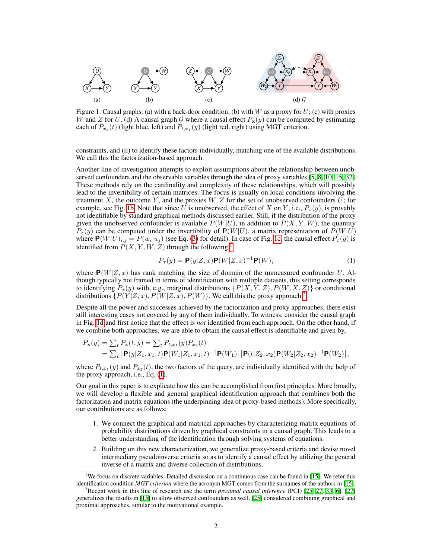<span id="page-1-0"></span>

Figure 1: Causal graphs: (a) with a back-door condition; (b) with *W* as a proxy for *U*; (c) with proxies *W* and *Z* for *U*. (d) A causal graph *G* where a causal effect  $P_x(y)$  can be computed by estimating each of  $P_{x_2}(t)$  (light blue, left) and  $P_{t,x_1}(y)$  (light red, right) using MGT criterion.

constraints, and (ii) to identify these factors individually, matching one of the available distributions. We call this the factorization-based approach.

Another line of investigation attempts to exploit assumptions about the relationship between unobserved confounders and the observable variables through the idea of proxy variables  $[5, 8, 10, 15, 32]$  $[5, 8, 10, 15, 32]$  $[5, 8, 10, 15, 32]$  $[5, 8, 10, 15, 32]$  $[5, 8, 10, 15, 32]$  $[5, 8, 10, 15, 32]$  $[5, 8, 10, 15, 32]$  $[5, 8, 10, 15, 32]$  $[5, 8, 10, 15, 32]$ . These methods rely on the cardinality and complexity of these relationships, which will possibly lead to the invertibility of certain matrices. The focus is usually on local conditions involving the treatment  $X$ , the outcome  $Y$ , and the proxies  $W$ ,  $Z$  for the set of unobserved confounders  $U$ ; for example, see Fig.  $\overline{16}$ . Note that since *U* is unobserved, the effect of *X* on *Y*, i.e.,  $P_x(y)$ , is provably not identifiable by standard graphical methods discussed earlier. Still, if the distribution of the proxy given the unobserved confounder is available  $P(W|U)$ , in addition to  $P(X, Y, W)$ , the quantity  $P_x(y)$  can be computed under the invertibility of  $P(W|U)$ , a matrix representation of  $P(W|U)$ where  $P(W|U)_{i,j} = P(w_i|u_j)$  (see Eq. [\(3\)](#page-4-0) for detail). In case of Fig. [1c,](#page-1-0) the causal effect  $P_x(y)$  is identified from  $P(X, Y, W, Z)$  through the following,<sup>11</sup>

<span id="page-1-3"></span>
$$
P_x(y) = \mathbf{P}(y|Z, x)\mathbf{P}(W|Z, x)^{-1}\mathbf{P}(W),\tag{1}
$$

where  $P(W|Z, x)$  has rank matching the size of domain of the unmeasured confounder *U*. Although typically not framed in terms of identification with multiple datasets, this setting corresponds to identifying  $P_x(y)$  with, e.g., marginal distributions  $\{P(X, Y, Z), P(W, X, Z)\}$  or conditional distributions  $\{P(Y|Z,x), P(W|Z,x), P(W)\}$ . We call this the proxy approach.<sup>2</sup>

Despite all the power and successes achieved by the factorization and proxy approaches, there exist still interesting cases not covered by any of them individually. To witness, consider the causal graph in Fig. [1d](#page-1-0) and first notice that the effect is *not* identified from each approach. On the other hand, if we combine both approaches, we are able to obtain the causal effect is identifiable and given by,

$$
P_{\mathbf{x}}(y) = \sum_{t} P_{\mathbf{x}}(t, y) = \sum_{t} P_{t, x_1}(y) P_{x_2}(t)
$$
  
=  $\sum_{t} [\mathbf{P}(y|Z_1, x_1, t)\mathbf{P}(W_1|Z_1, x_1, t)^{-1}\mathbf{P}(W_1)][\mathbf{P}(t|Z_2, x_2)\mathbf{P}(W_2|Z_2, x_2)^{-1}\mathbf{P}(W_2)],$ 

where  $P_{t,x_1}(y)$  and  $P_{x_2}(t)$ , the two factors of the query, are individually identified with the help of the proxy approach, i.e., Eq.  $(1)$ .

Our goal in this paper is to explicate how this can be accomplished from first principles. More broadly, we will develop a flexible and general graphical identification approach that combines both the factorization and matrix equations (the underpinning idea of proxy-based methods). More specifically, our contributions are as follows:

- 1. We connect the graphical and matrical approaches by characterizing matrix equations of probability distributions driven by graphical constraints in a causal graph. This leads to a better understanding of the identification through solving systems of equations.
- 2. Building on this new characterization, we generalize proxy-based criteria and devise novel intermediary pseudoinverse criteria so as to identify a causal effect by utilizing the general inverse of a matrix and diverse collection of distributions.

<span id="page-1-1"></span><sup>&</sup>lt;sup>1</sup>We focus on discrete variables. Detailed discussion on a continuous case can be found in  $\Box$ . We refer this identification condition *MGT criterion* where the acronym MGT comes from the surnames of the authors in [\[15\]](#page-10-9).

<span id="page-1-2"></span><sup>&</sup>lt;sup>2</sup> Recent work in this line of research use the term *proximal causal inference* (PCI) [\[25,](#page-10-10) [[27,](#page-10-11) [[33,](#page-11-1) [[6\]](#page-9-6). [\[27\]](#page-10-11) generalizes the results in [\[15\]](#page-10-9) to allow observed confounders as well. [\[25\]](#page-10-10) considered combining graphical and proximal approaches, similar to the motivational example.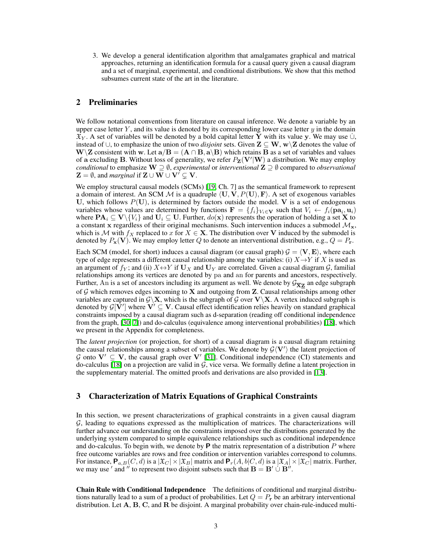3. We develop a general identification algorithm that amalgamates graphical and matrical approaches, returning an identification formula for a causal query given a causal diagram and a set of marginal, experimental, and conditional distributions. We show that this method subsumes current state of the art in the literature.

# 2 Preliminaries

We follow notational conventions from literature on causal inference. We denote a variable by an upper case letter  $Y$ , and its value is denoted by its corresponding lower case letter  $y$  in the domain  $\mathfrak{X}_Y$ . A set of variables will be denoted by a bold capital letter Y with its value y. We may use  $\cup$ , instead of  $\cup$ , to emphasize the union of two *disjoint* sets. Given  $\mathbf{Z} \subseteq \mathbf{W}$ ,  $\mathbf{w} \setminus \mathbf{Z}$  denotes the value of  $W\Z$  consistent with w. Let  $a/B = (A \cap B, a\B)$  which retains B as a set of variables and values of a excluding **B**. Without loss of generality, we refer  $P_Z(V'|W)$  a distribution. We may employ *conditional* to emphasize  $W \supseteq \emptyset$ , *experimental* or *interventional*  $Z \supseteq \emptyset$  compared to *observational*  $\mathbf{Z} = \emptyset$ , and *marginal* if  $\mathbf{Z} \cup \mathbf{W} \cup \mathbf{V}' \subseteq \mathbf{V}$ .

We employ structural causal models (SCMs)  $\boxed{19}$ , Ch. 7] as the semantical framework to represent a domain of interest. An SCM M is a quadruple  $\langle U, V, P(U), F \rangle$ . A set of exogenous variables U, which follows  $P(U)$ , is determined by factors outside the model. V is a set of endogenous variables whose values are determined by functions  $\mathbf{F} = \{f_i\}_{V_i \in \mathbf{V}}$  such that  $V_i \leftarrow f_i(\mathbf{pa}_i, \mathbf{u}_i)$ where  $\mathbf{PA}_i \subseteq \mathbf{V} \setminus \{V_i\}$  and  $\mathbf{U}_i \subseteq \mathbf{U}$ . Further,  $do(\mathbf{x})$  represents the operation of holding a set **X** to a constant x regardless of their original mechanisms. Such intervention induces a submodel  $\mathcal{M}_{x}$ , which is *M* with  $f_X$  replaced to *x* for  $X \in \mathbf{X}$ . The distribution over **V** induced by the submodel is denoted by  $P_x(\mathbf{V})$ . We may employ letter *Q* to denote an interventional distribution, e.g.,  $Q = P_x$ .

Each SCM (model, for short) induces a causal diagram (or causal graph)  $G = \langle V, E \rangle$ , where each type of edge represents a different causal relationship among the variables: (i)  $X \rightarrow Y$  if *X* is used as an argument of  $f_Y$ ; and (ii)  $X \leftrightarrow Y$  if  $U_X$  and  $U_Y$  are correlated. Given a causal diagram  $G$ , familial relationships among its vertices are denoted by pa and an for parents and ancestors, respectively. Further, An is a set of ancestors including its argument as well. We denote by  $\mathcal{G}_{\overline{X}Z}$  an edge subgraph of  $G$  which removes edges incoming to **X** and outgoing from **Z**. Causal relationships among other variables are captured in  $G\backslash X$ , which is the subgraph of *G* over  $V\backslash X$ . A vertex induced subgraph is denoted by  $G[V']$  where  $V' \subseteq V$ . Causal effect identification relies heavily on standard graphical constraints imposed by a causal diagram such as d-separation (reading off conditional independence from the graph,  $[30, 7]$  $[30, 7]$  $[30, 7]$ ) and do-calculus (equivalence among interventional probabilities)  $[18]$ , which we present in the Appendix for completeness.

The *latent projection* (or projection, for short) of a causal diagram is a causal diagram retaining the causal relationships among a subset of variables. We denote by  $G\langle V'\rangle$  the latent projection of *G* onto  $V' \subseteq V$ , the causal graph over  $V'$  [\[31\]](#page-11-3). Conditional independence (CI) statements and do-calculus  $\boxed{18}$  on a projection are valid in  $\mathcal G$ , vice versa. We formally define a latent projection in the supplementary material. The omitted proofs and derivations are also provided in  $[13]$ .

## <span id="page-2-0"></span>3 Characterization of Matrix Equations of Graphical Constraints

In this section, we present characterizations of graphical constraints in a given causal diagram *G*, leading to equations expressed as the multiplication of matrices. The characterizations will further advance our understanding on the constraints imposed over the distributions generated by the underlying system compared to simple equivalence relationships such as conditional independence and do-calculus. To begin with, we denote by  $P$  the matrix representation of a distribution  $P$  where free outcome variables are rows and free condition or intervention variables correspond to columns. For instance,  $P_{a,B}(C,d)$  is a  $|\mathfrak{X}_C| \times |\mathfrak{X}_B|$  matrix and  $P_r(A,b|C,d)$  is a  $|\mathfrak{X}_A| \times |\mathfrak{X}_C|$  matrix. Further, we may use ' and '' to represent two disjoint subsets such that  $B = B' \cup B''$ .

Chain Rule with Conditional Independence The definitions of conditional and marginal distributions naturally lead to a sum of a product of probabilities. Let  $Q = P_r$  be an arbitrary interventional distribution. Let  $A$ ,  $B$ ,  $C$ , and  $R$  be disjoint. A marginal probability over chain-rule-induced multi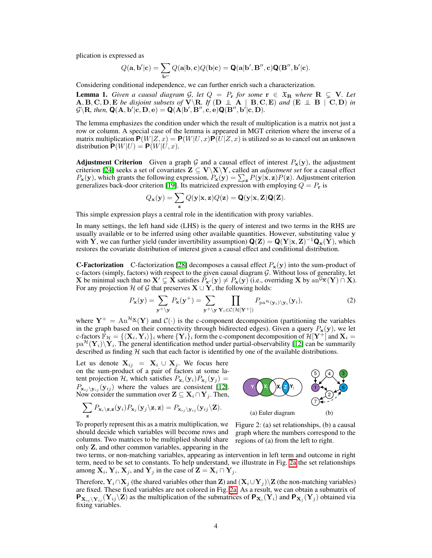plication is expressed as

$$
Q(\mathbf{a},\mathbf{b}'|\mathbf{c})=\sum_{\mathbf{b}''}Q(\mathbf{a}|\mathbf{b},\mathbf{c})Q(\mathbf{b}|\mathbf{c})=\mathbf{Q}(\mathbf{a}|\mathbf{b}',\mathbf{B}'',\mathbf{c})\mathbf{Q}(\mathbf{B}'',\mathbf{b}'|\mathbf{c}).
$$

Considering conditional independence, we can further enrich such a characterization.

<span id="page-3-1"></span>**Lemma 1.** *Given a causal diagram G, let*  $Q = P_r$  *for some*  $r \in \mathfrak{X}_R$  *where*  $R \subsetneq V$ *. Let*  $\mathbf{A}, \mathbf{B}, \mathbf{C}, \mathbf{D}, \mathbf{E}$  *be disjoint subsets of*  $\mathbf{V}\backslash\mathbf{R}$ *. If*  $(\mathbf{D} \perp \mathbf{A} \mid \mathbf{B}, \mathbf{C}, \mathbf{E})$  *and*  $(\mathbf{E} \perp \mathbf{B} \mid \mathbf{C}, \mathbf{D})$  *in*  $\mathcal{G}\backslash\mathbf{R}$ , then,  $\mathbf{Q}(\mathbf{A},\mathbf{b}'|\mathbf{c},\mathbf{D},\mathbf{e}) = \mathbf{Q}(\mathbf{A}|\mathbf{b}',\mathbf{B}'',\mathbf{c},\mathbf{e})\mathbf{Q}(\mathbf{B}'',\mathbf{b}'|\mathbf{c},\mathbf{D})$ .

The lemma emphasizes the condition under which the result of multiplication is a matrix not just a row or column. A special case of the lemma is appeared in MGT criterion where the inverse of a matrix multiplication  $P(W|Z, x) = P(W|U, x)P(U|Z, x)$  is utilized so as to cancel out an unknown distribution  $P(W|U) = P(W|U, x)$ .

Adjustment Criterion Given a graph  $G$  and a causal effect of interest  $P_x(y)$ , the adjustment criterion  $[24]$  seeks a set of covariates  $\mathbf{Z} \subseteq \mathbf{V}\setminus\mathbf{X}\setminus\mathbf{Y}$ , called an *adjustment set* for a causal effect  $P_x(y)$ , which grants the following expression,  $P_x(y) = \sum_z P(y|x, z)P(z)$ . Adjustment criterion generalizes back-door criterion  $[19]$ . Its matricized expression with employing  $Q = P_r$  is

$$
Q_{\mathbf{x}}(\mathbf{y}) = \sum_{\mathbf{z}} Q(\mathbf{y}|\mathbf{x}, \mathbf{z}) Q(\mathbf{z}) = \mathbf{Q}(\mathbf{y}|\mathbf{x}, \mathbf{Z}) \mathbf{Q}(\mathbf{Z}).
$$

This simple expression plays a central role in the identification with proxy variables.

In many settings, the left hand side (LHS) is the query of interest and two terms in the RHS are usually available or to be inferred using other available quantities. However, substituting value y with Y, we can further yield (under invertibility assumption)  $\mathbf{Q}(\mathbf{Z}) = \mathbf{Q}(\mathbf{Y}|\mathbf{x}, \mathbf{Z})^{-1}\mathbf{Q}_{\mathbf{x}}(\mathbf{Y})$ , which restores the covariate distribution of interest given a causal effect and conditional distribution.

**C-Factorization** C-factorization  $[28]$  decomposes a causal effect  $P_x(y)$  into the sum-product of c-factors (simply, factors) with respect to the given causal diagram *G*. Without loss of generality, let X be minimal such that no  $X' \subsetneq X$  satisfies  $P_{x'}(y) \neq P_{x}(y)$  (i.e., overriding X by an<sup> $G_{\overline{X}}(Y) \cap X$ ).</sup> For any projection *H* of *G* that preserves  $X \cup Y$ , the following holds:

$$
P_{\mathbf{x}}(\mathbf{y}) = \sum_{\mathbf{y}^+ \backslash \mathbf{y}} P_{\mathbf{x}}(\mathbf{y}^+) = \sum_{\mathbf{y}^+ \backslash \mathbf{y}} \prod_{\mathbf{Y}_i \in \mathcal{C}(\mathcal{H}[\mathbf{Y}^+])} P_{\text{pa}^{\mathcal{H}}(\mathbf{y}_i) \backslash \mathbf{y}_i}(\mathbf{y}_i),
$$
\n(2)

where  $Y^+ = An^{H\underline{x}}(Y)$  and  $C(\cdot)$  is the c-component decomposition (partitioning the variables in the graph based on their connectivity through bidirected edges). Given a query  $P_x(y)$ , we let c-factors  $\mathbb{F}_{\mathcal{H}} = \{(\mathbf{X}_i, \mathbf{Y}_i)\}_i$  where  $\{\mathbf{Y}_i\}_i$  form the c-component decomposition of  $\mathcal{H}[\mathbf{Y}^+]$  and  $\mathbf{X}_i =$  $pa^{\mathcal{H}}(\mathbf{Y}_i)\backslash\mathbf{Y}_i$ . The general identification method under partial-observability [\[12\]](#page-10-7) can be summarily described as finding *H* such that each factor is identified by one of the available distributions.

Let us denote  $X_{ij} = X_i \cup X_j$ . We focus here on the sum-product of a pair of factors at some latent projection *H*, which satisfies  $P_{\mathbf{x}_i}(\mathbf{y}_i)P_{\mathbf{x}_j}(\mathbf{y}_j) =$  $P_{\mathbf{x}_{ij} \setminus \mathbf{y}_{ij}} (\mathbf{y}_{ij})$  where the values are consistent [\[12\]](#page-10-7). Now consider the summation over  $\mathbf{Z} \subseteq \mathbf{X}_i \cap \mathbf{Y}_j$ . Then,

$$
\sum_{\mathbf{z}} P_{\mathbf{x}_i \setminus \mathbf{z}, \mathbf{z}}(\mathbf{y}_i) P_{\mathbf{x}_j}(\mathbf{y}_j \setminus \mathbf{z}, \mathbf{z}) = P_{\mathbf{x}_{ij} \setminus \mathbf{y}_{ij}}(\mathbf{y}_{ij} \setminus \mathbf{Z}).
$$

<span id="page-3-3"></span><span id="page-3-0"></span>**Y***<sup>i</sup>* **X***<sup>j</sup>* **X***<sup>i</sup>* **Z Y***<sup>j</sup>* (a) Euler diagram 7 2  $1)$   $\sim$   $(6)$ 5) (4) (3  $(h)$ 

To properly represent this as a matrix multiplication, we should decide which variables will become rows and columns. Two matrices to be multiplied should share only Z, and other common variables, appearing in the



two terms, or non-matching variables, appearing as intervention in left term and outcome in right term, need to be set to constants. To help understand, we illustrate in Fig.  $\overline{2a}$  the set relationships among  $X_i$ ,  $Y_i$ ,  $X_j$ , and  $Y_j$  in the case of  $Z = X_i \cap Y_j$ .

<span id="page-3-2"></span>Therefore,  $Y_i \cap X_j$  (the shared variables other than Z) and  $(X_i \cup Y_j) \setminus Z$  (the non-matching variables) are fixed. These fixed variables are not colored in Fig.  $\overline{2a}$ . As a result, we can obtain a submatrix of  $P_{X_{ij}}Y_{ij}(Y_{ij}\setminus Z)$  as the multiplication of the submatrices of  $P_{X_i}(Y_i)$  and  $P_{X_j}(Y_j)$  obtained via fixing variables.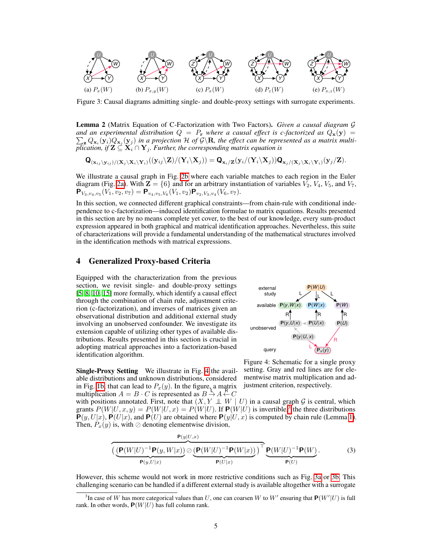<span id="page-4-3"></span>

Figure 3: Causal diagrams admitting single- and double-proxy settings with surrogate experiments.

Lemma 2 (Matrix Equation of C-Factorization with Two Factors). *Given a causal diagram G and an experimental distribution*  $Q = P_r$  *where a causal effect is c-factorized as*  $Q_x(y)$  =  $\sum_{\mathbf{z}} Q_{\mathbf{x}_i}(\mathbf{y}_i) Q_{\mathbf{x}_j}(\mathbf{y}_j)$  in a projection H of  $\mathcal{G}\setminus\mathbf{R}$ , the effect can be represented as a matrix multiplication, if  $\mathbf{Z} \subseteq \mathbf{X}_i \cap \mathbf{Y}_j$ *. Further, the corresponding matrix equation is* 

$$
\mathbf{Q}_{(\mathbf{x}_{ij}\setminus \mathbf{y}_{ij})/(\mathbf{X}_{j}\setminus \mathbf{X}_{i}\setminus \mathbf{Y}_{i})}((\mathbf{y}_{ij}\setminus \mathbf{Z})/(\mathbf{Y}_{i}\setminus \mathbf{X}_{j}))=\mathbf{Q}_{\mathbf{x}_{i}/\mathbf{Z}}(\mathbf{y}_{i}/(\mathbf{Y}_{i}\setminus \mathbf{X}_{j}))\mathbf{Q}_{\mathbf{x}_{j}/(\mathbf{X}_{j}\setminus \mathbf{X}_{i}\setminus \mathbf{Y}_{i})}(\mathbf{y}_{j}/\mathbf{Z}).
$$

We illustrate a causal graph in Fig.  $2b$  where each variable matches to each region in the Euler diagram (Fig.  $2a$ ). With  $\mathbf{Z} = \{6\}$  and for an arbitrary instantiation of variables  $V_2$ ,  $V_4$ ,  $V_5$ , and  $V_7$ ,  ${\bf P}_{V_3,v_4,v_5}(V_1,\overline{v_2,v_7}) = {\bf P}_{v_4,v_5,V_6}(V_1,v_2) {\bf P}_{v_2,V_3,v_4}(V_6,v_7).$ 

In this section, we connected different graphical constraints—from chain-rule with conditional independence to c-factorization—induced identification formulae to matrix equations. Results presented in this section are by no means complete yet cover, to the best of our knowledge, every sum-product expression appeared in both graphical and matrical identification approaches. Nevertheless, this suite of characterizations will provide a fundamental understanding of the mathematical structures involved in the identification methods with matrical expressions.

## <span id="page-4-4"></span>4 Generalized Proxy-based Criteria

Equipped with the characterization from the previous section, we revisit single- and double-proxy settings [\[5,](#page-9-3) [8,](#page-9-4) [10,](#page-9-5) [15\]](#page-10-9) more formally, which identify a causal effect through the combination of chain rule, adjustment criterion (c-factorization), and inverses of matrices given an observational distribution and additional external study involving an unobserved confounder. We investigate its extension capable of utilizing other types of available distributions. Results presented in this section is crucial in adopting matrical approaches into a factorization-based identification algorithm.

<span id="page-4-1"></span>

**Single-Proxy Setting** We illustrate in Fig.  $\overline{A}$  the available distributions and unknown distributions, considered in Fig.  $\overline{1b}$ , that can lead to  $P_x(y)$ . In the figure, a matrix multiplication  $A = B \cdot C$  is represented as  $B \rightarrow A \leftarrow C$ 

<span id="page-4-0"></span>Figure 4: Schematic for a single proxy setting. Gray and red lines are for elementwise matrix multiplication and adjustment criterion, respectively.

with positions annotated. First, note that  $(X, Y \perp\!\!\!\perp W \mid U)$  in a causal graph  $G$  is central, which grants  $P(W|U, x, y) = P(W|U, x) = P(W|U)$ . If  $P(W|U)$  is invertible,<sup>3</sup> the three distributions  $P(y, U|x)$ ,  $P(U|x)$ , and  $P(U)$  are obtained where  $P(y|U, x)$  is computed by chain rule (Lemma  $\overline{\Pi}$ ). Then,  $P_x(y)$  is, with  $\oslash$  denoting elementwise division,

$$
\left(\underbrace{\left(\mathbf{P}(W|U)^{-1}\mathbf{P}(y,W|x)\right)}_{\mathbf{P}(y,U|x)}\odot \underbrace{\left(\mathbf{P}(W|U)^{-1}\mathbf{P}(W|x)\right)}_{\mathbf{P}(U|x)}\right)^{\top}\underbrace{\mathbf{P}(W|U)^{-1}\mathbf{P}(W)}_{\mathbf{P}(U)}.
$$
\n(3)

However, this scheme would not work in more restrictive conditions such as Fig.  $\overline{3a}$  or  $\overline{3b}$ . This challenging scenario can be handled if a different external study is available altogether with a surrogate

<span id="page-4-2"></span><sup>&</sup>lt;sup>3</sup>In case of *W* has more categorical values than *U*, one can coarsen *W* to *W'* ensuring that  $P(W'|U)$  is full rank. In other words,  $P(W|U)$  has full column rank.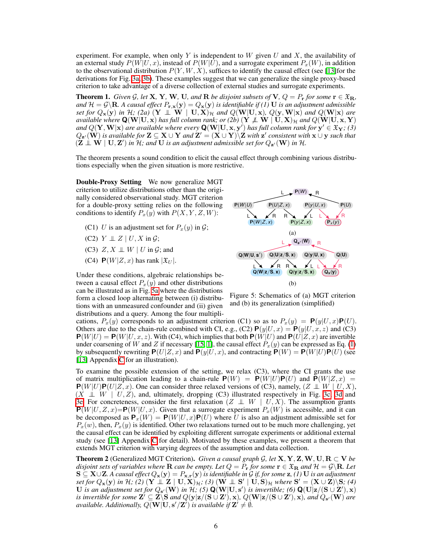experiment. For example, when only *Y* is independent to *W* given *U* and *X*, the availability of an external study  $P(W|U, x)$ , instead of  $P(W|U)$ , and a surrogate experiment  $P<sub>x</sub>(W)$ , in addition to the observational distribution  $P(Y, W, X)$ , suffices to identify the causal effect (see  $\boxed{13}$  for the derivations for Fig.  $\overline{3a}$ ,  $\overline{3b}$ ). These examples suggest that we can generalize the single proxy-based criterion to take advantage of a diverse collection of external studies and surrogate experiments.

<span id="page-5-1"></span>**Theorem 1.** *Given G*, let **X**, **Y**, **W**, **U**, and **R** *be disjoint subsets of* **V**,  $Q = P_r$  *for some*  $r \in \mathfrak{X}_R$ *, and*  $H = \mathcal{G}\backslash \mathbf{R}$ . A causal effect  $P_{\mathbf{r} \cdot \mathbf{x}}(\mathbf{y}) = Q_{\mathbf{x}}(\mathbf{y})$  *is identifiable if* (1) **U** *is an adjustment admissible set for*  $Q_x(y)$  *in*  $H$ *;* (2a)<sup>\*</sup>(Y  $\perp \perp$  **W**<sup> $\parallel$ </sup> U, X)<sub>H</sub> *and*  $Q(W|U,x)$ *, Q*(y, W|x) *and*  $Q(W|x)$  *are available where*  $Q(W|U, x)$  *has full column rank; or (2b)*  $(Y \nperp W | U, X)_H$  *and*  $Q(W|U, x, Y)$ *and*  $Q(Y, W|x)$  *are available where every*  $Q(W|U, x, y')$  *has full column rank for*  $y' \in \mathfrak{X}_Y$ ; (3)  $Q_{\mathbf{z}'}(\mathbf{W})$  *is available for*  $\mathbf{Z} \subseteq \mathbf{X} \cup \mathbf{Y}$  *and*  $\mathbf{Z}' = (\mathbf{X} \cup \mathbf{Y}) \setminus \mathbf{Z}$  *with*  $\mathbf{z}'$  *consistent with*  $\mathbf{x} \cup \mathbf{y}$  *such that*  $(Z \perp\!\!\!\perp W \mid U, Z')$  in  $\mathcal H$ ; and  $U$  is an adjustment admissible set for  $Q_{\mathbf{z}'}(\mathbf{W})$  in  $\mathcal H$ .

The theorem presents a sound condition to elicit the causal effect through combining various distributions especially when the given situation is more restrictive.

Double-Proxy Setting We now generalize MGT criterion to utilize distributions other than the originally considered observational study. MGT criterion for a double-proxy setting relies on the following conditions to identify  $P_x(y)$  with  $P(X, Y, Z, W)$ :

- (C1) *U* is an adjustment set for  $P_x(y)$  in  $G$ ;
- $(C2)$   $Y \perp\!\!\!\perp Z \mid U, X \text{ in } \mathcal{G};$
- (C3)  $Z, X \perp\!\!\!\perp W \mid U$  in  $G$ ; and
- (C4)  $P(W|Z, x)$  has rank  $|\mathfrak{X}_U|$ .

Under these conditions, algebraic relationships between a causal effect  $P_x(y)$  and other distributions can be illustrated as in Fig.  $\overline{5a}$  where the distributions form a closed loop alternating between (i) distributions with an unmeasured confounder and (ii) given distributions and a query. Among the four multipli-

<span id="page-5-0"></span>

Figure 5: Schematics of (a) MGT criterion and (b) its generalization (simplified)

cations,  $P_x(y)$  corresponds to an adjustment criterion (C1) so as to  $P_x(y) = \mathbf{P}(y|U, x)\mathbf{P}(U)$ . Others are due to the chain-rule combined with CI, e.g., (C2)  $P(y|U, x) = P(y|U, x, z)$  and (C3)  $P(W|U) = P(W|U, x, z)$ . With (C4), which implies that both  $P(W|U)$  and  $P(U|Z, x)$  are invertible under coarsening of *W* and *Z* if necessary  $[15, 1]$  $[15, 1]$  $[15, 1]$ , the causal effect  $P_x(y)$  can be expressed as Eq.  $[1]$ by subsequently rewriting  $P(U|Z, x)$  and  $P(y|U, x)$ , and contracting  $P(W) = P(W|U)P(U)$  (see [\[13\]](#page-10-12) Appendix  $\overline{C}$  for an illustration).

To examine the possible extension of the setting, we relax (C3), where the CI grants the use of matrix multiplication leading to a chain-rule  $P(W) = P(W|U)P(U)$  and  $P(W|Z, x) =$  $P(W|U)P(U|Z, x)$ . One can consider three relaxed versions of (C3), namely,  $(Z \perp W | U, X)$ ,  $(X \perp\!\!\!\perp W \mid U, Z)$ , and, ultimately, dropping (C3) illustrated respectively in Fig. [3c, 3d](#page-4-3) and [3e.](#page-4-3) For concreteness, consider the first relaxation  $(Z \perp\!\!\!\perp W \mid U, X)$ . The assumption grants  $\overline{P}(W|U, Z, x) = P(W|U, x)$ . Given that a surrogate experiment  $P_x(W)$  is accessible, and it can be decomposed as  $P_x(W) = P(W|U, x)P(U)$  where *U* is also an adjustment admissible set for  $P_x(w)$ , then,  $P_x(y)$  is identified. Other two relaxations turned out to be much more challenging, yet the causal effect can be identified by exploiting different surrogate experiments or additional external study (see  $\overline{13}$  Appendix  $\overline{C}$  for detail). Motivated by these examples, we present a theorem that extends MGT criterion with varying degrees of the assumption and data collection.

<span id="page-5-2"></span>**Theorem 2** (Generalized MGT Criterion). *Given a causal graph G, let*  $X, Y, Z, W, U, R \subset V$  *be disjoint sets of variables where*  $R$  *can be empty. Let*  $Q = P_r$  *for some*  $r \in \mathfrak{X}_R$  *and*  $\mathcal{H} = \mathcal{G} \setminus R$ *. Let*  $S \subseteq X \cup Z$ . A causal effect  $Q_x(y) = P_{x,r}(y)$  is identifiable in G if, for some  $z$ , (1) U is an adjustment *set for*  $Q_x(y)$  *in*  $H$ *;* (2) ( $Y \perp Z \perp U$ ,  $X)_{\mathcal{H}}$ *; (3)* ( $W \perp S' \perp U$ ,  $S)_{\mathcal{H}}$  *where*  $S' = (X \cup Z) \setminus S$ *; (4)* U is an adjustment set for  $Q_{s'}(\mathbf{W})$  in  $\mathcal{H}$ ; (5)  $\mathbf{Q}(\mathbf{W}|\mathbf{U},\mathbf{s}')$  is invertible; (6)  $\mathbf{Q}(\mathbf{U}|\mathbf{z}/(\mathbf{S} \cup \mathbf{Z}'),\mathbf{x})$ *is invertible for some*  $\mathbf{Z}' \subseteq \mathbf{Z} \backslash \mathbf{S}$  *and*  $Q(\mathbf{y}|\mathbf{z}/(\mathbf{S} \cup \mathbf{Z}'))$ ,  $\mathbf{x}$ *),*  $Q(\mathbf{W}|\mathbf{z}/(\mathbf{S} \cup \mathbf{Z}'))$ *, and*  $Q_{\mathbf{s}'}(\mathbf{W})$  *are available. Additionally,*  $Q(\mathbf{W}|\mathbf{U}, \mathbf{s}'/\mathbf{Z}')$  *is available if*  $\mathbf{Z}' \neq \emptyset$ *.*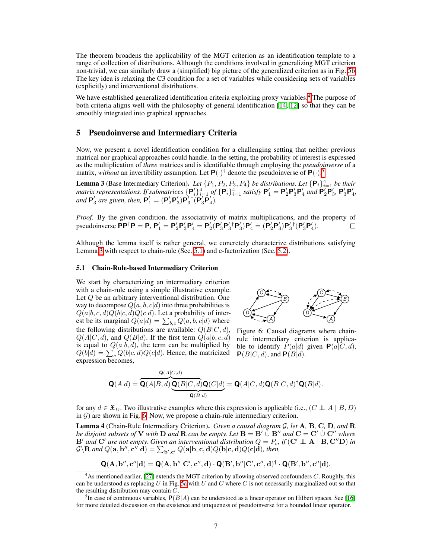The theorem broadens the applicability of the MGT criterion as an identification template to a range of collection of distributions. Although the conditions involved in generalizing MGT criterion non-trivial, we can similarly draw a (simplified) big picture of the generalized criterion as in Fig. **5b.** The key idea is relaxing the C3 condition for a set of variables while considering sets of variables (explicitly) and interventional distributions.

We have established generalized identification criteria exploiting proxy variables.<sup>[4](#page-6-0)</sup> The purpose of both criteria aligns well with the philosophy of general identification  $[14, 12]$  $[14, 12]$  $[14, 12]$  so that they can be smoothly integrated into graphical approaches.

#### <span id="page-6-6"></span>5 Pseudoinverse and Intermediary Criteria

Now, we present a novel identification condition for a challenging setting that neither previous matrical nor graphical approaches could handle. In the setting, the probability of interest is expressed as the multiplication of *three* matrices and is identifiable through employing the *pseudoinverse* of a matrix, *without* an invertibility assumption. Let  $P(\cdot)^\dagger$  denote the pseudoinverse of  $P(\cdot)$ .

<span id="page-6-2"></span>**Lemma 3** (Base Intermediary Criterion). Let  $\{P_1, P_2, P_3, P_4\}$  be distributions. Let  $\{\mathbf{P}_i\}_{i=1}^4$  be their *matrix representations. If submatrices*  $\{P_i'\}_{i=1}^4$  *of*  $\{P_i\}_{i=1}^4$  *satisfy*  $P'_1 = P'_2P'_3P'_4$  *and*  $P'_2P'_3$ ,  $P'_3P'_4$ , *and*  $P'_3$  *are given, then,*  $P'_1 = (P'_2P'_3)P'_3P'_4(P'_3P'_4)$ *.* 

*Proof.* By the given condition, the associativity of matrix multiplications, and the property of pseudoinverse  $PP^{\dagger}P = P$ ,  $P'_1 = P'_2P'_3P'_4 = P'_2(P'_3P'_3{}^{\dagger}P'_3)P'_4 = (P'_2P'_3)P'_3{}^{\dagger}(P'_3P'_4)$ .  $\Box$ 

Although the lemma itself is rather general, we concretely characterize distributions satisfying Lemma  $\frac{3}{3}$  with respect to chain-rule (Sec.  $\frac{5.1}{3}$ ) and c-factorization (Sec.  $\frac{5.2}{3}$ ).

#### <span id="page-6-3"></span>5.1 Chain-Rule-based Intermediary Criterion

We start by characterizing an intermediary criterion with a chain-rule using a simple illustrative example. Let *Q* be an arbitrary interventional distribution. One way to decompose  $Q(a, b, c|d)$  into three probabilities is  $Q(a|b, c, d)Q(b|c, d)Q(c|d)$ . Let a probability of interest be its marginal  $Q(a|d) = \sum_{b,c} Q(a,b,c|d)$  where the following distributions are available:  $Q(B|C, d)$ ,  $Q(A|C, d)$ , and  $Q(B|d)$ . If the first term  $Q(a|b, c, d)$ is equal to  $Q(a|b, d)$ , the term can be multiplied by  $Q(b|d) = \sum_{c} Q(b|c, d)Q(c|d)$ . Hence, the matricized expression becomes,

<span id="page-6-4"></span>

Figure 6: Causal diagrams where chainrule intermediary criterion is applicable to identify  $P(a|d)$  given  $P(a|C, d)$ ,  $P(B|C, d)$ , and  $P(B|d)$ .

$$
\mathbf{Q}(A|d) = \overbrace{\mathbf{Q}(A|B,d)}^{\mathbf{Q}(A|C,d)} \overbrace{\mathbf{Q}(B|C,d)}^{\mathbf{Q}(B|C,d)} \mathbf{Q}(C|d)}^{\mathbf{Q}(B|C,d)} = \mathbf{Q}(A|C,d)\mathbf{Q}(B|C,d)^{\dagger}\mathbf{Q}(B|d).
$$

for any  $d \in \mathfrak{X}_D$ . Two illustrative examples where this expression is applicable (i.e.,  $(C \perp A \mid B, D)$ in  $G$ ) are shown in Fig. [6.](#page-6-4) Now, we propose a chain-rule intermediary criterion.

<span id="page-6-5"></span>Lemma 4 (Chain-Rule Intermediary Criterion). *Given a causal diagram G, let* A*,* B*,* C*,* D*, and* R *be disjoint subsets of* **V** *with* **D** *and* **R** *can be empty. Let*  $B = B' \cup B''$  *and*  $C = C' \cup C''$  *where*  $\mathbf{B}'$  *and*  $\mathbf{C}'$  *are not empty. Given an interventional distribution*  $Q = P_{\mathbf{r}}$ , *if*  $(\mathbf{C}' \perp \mathbf{A} \mid \mathbf{B}, \mathbf{C}''\mathbf{D})$  *in*  $G\backslash \mathbf{R}$  and  $Q(\mathbf{a},\mathbf{b}'',\mathbf{c}''|\mathbf{d}) = \sum_{\mathbf{b}',\mathbf{c}'}Q(\mathbf{a}|\mathbf{b},\mathbf{c},\mathbf{d})Q(\mathbf{b}|\mathbf{c},\mathbf{d})Q(\mathbf{c}|\mathbf{d})$ *, then,* 

$$
\mathbf{Q}(\mathbf{A},\mathbf{b}'',\mathbf{c}''|\mathbf{d}) = \mathbf{Q}(\mathbf{A},\mathbf{b}''|\mathbf{C}',\mathbf{c}'',\mathbf{d}) \cdot \mathbf{Q}(\mathbf{B}',\mathbf{b}''|\mathbf{C}',\mathbf{c}'',\mathbf{d})^{\dagger} \cdot \mathbf{Q}(\mathbf{B}',\mathbf{b}'',\mathbf{c}''|\mathbf{d}).
$$

<span id="page-6-0"></span><sup>&</sup>lt;sup>4</sup>As mentioned earlier, [\[27\]](#page-10-11) extends the MGT criterion by allowing observed confounders *C*. Roughly, this can be understood as replacing *U* in Fig.  $\overline{5a}$  with *U* and *C* where *C* is not necessarily marginalized out so that the resulting distribution may contain *C*.

<span id="page-6-1"></span><sup>&</sup>lt;sup>5</sup>In case of continuous variables,  $P(B|A)$  can be understood as a linear operator on Hilbert spaces. See [\[16\]](#page-10-15) for more detailed discussion on the existence and uniqueness of pseudoinverse for a bounded linear operator.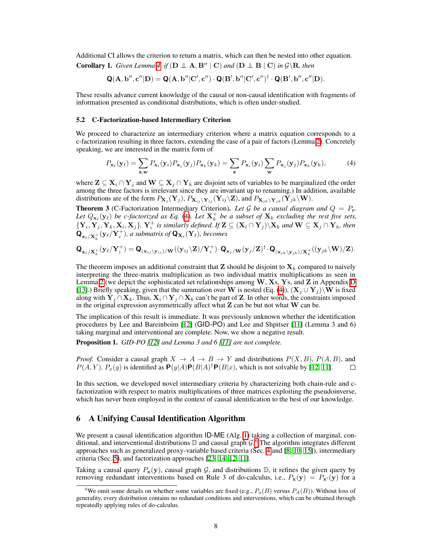Additional CI allows the criterion to return a matrix, which can then be nested into other equation.

**Corollary 1.** *Given Lemma*  $\overline{A}$  *if* ( $D \perp A$ ,  $B'' \mid C$ ) *and* ( $D \perp B \mid C$ ) *in*  $G \setminus R$ *, then* 

$$
\mathbf{Q}(\mathbf{A},\mathbf{b}'',\mathbf{c}''|\mathbf{D})=\mathbf{Q}(\mathbf{A},\mathbf{b}''|\mathbf{C}',\mathbf{c}'')\cdot\mathbf{Q}(\mathbf{B}',\mathbf{b}''|\mathbf{C}',\mathbf{c}'')^{\dagger}\cdot\mathbf{Q}(\mathbf{B}',\mathbf{b}'',\mathbf{c}''|\mathbf{D}).
$$

These results advance current knowledge of the causal or non-causal identification with fragments of information presented as conditional distributions, which is often under-studied.

#### <span id="page-7-0"></span>5.2 C-Factorization-based Intermediary Criterion

We proceed to characterize an intermediary criterion where a matrix equation corresponds to a c-factorization resulting in three factors, extending the case of a pair of factors (Lemma  $\overline{2}$ ). Concretely speaking, we are interested in the matrix form of

<span id="page-7-1"></span>
$$
P_{\mathbf{x}_{\ell}}(\mathbf{y}_{\ell}) = \sum_{\mathbf{z}, \mathbf{w}} P_{\mathbf{x}_{i}}(\mathbf{y}_{i}) P_{\mathbf{x}_{j}}(\mathbf{y}_{j}) P_{\mathbf{x}_{k}}(\mathbf{y}_{k}) = \sum_{\mathbf{z}} P_{\mathbf{x}_{i}}(\mathbf{y}_{i}) \sum_{\mathbf{w}} P_{\mathbf{x}_{j}}(\mathbf{y}_{j}) P_{\mathbf{x}_{k}}(\mathbf{y}_{k}),
$$
(4)

where  $\mathbf{Z} \subseteq \mathbf{X}_i \cap \mathbf{Y}_j$  and  $\mathbf{W} \subseteq \mathbf{X}_j \cap \mathbf{Y}_k$  are disjoint sets of variables to be marginalized (the order among the three factors is irrelevant since they are invariant up to renaming.) In addition, available distributions are of the form  $P_{\mathbf{X}_j}(\mathbf{Y}_j)$ ,  $P_{\mathbf{X}_{ij}\setminus\mathbf{Y}_{ij}}(\mathbf{Y}_{ij}\setminus\mathbf{Z})$ , and  $P_{\mathbf{X}_{jk}\setminus\mathbf{Y}_{jk}}(\mathbf{Y}_{jk}\setminus\mathbf{W})$ .

<span id="page-7-3"></span>**Theorem 3** (C-Factorization Intermediary Criterion). Let G be a causal diagram and  $Q = P_r$ . Let  $Q_{\mathbf{x}_{\ell}}(\mathbf{y}_{\ell})$  be c-factorized as Eq.  $\mathbf{A}$ . Let  $\mathbf{X}_{k}^{+}$  be a subset of  $\mathbf{X}_{k}$  excluding the rest five sets,  $\{Y_i, Y_j, Y_k, X_i, X_j\}$ *.*  $Y_i^+$  *is similarly defined. If*  $\mathbf{Z} \subseteq (\mathbf{X}_i \cap \mathbf{Y}_j) \setminus \mathbf{X}_k$  *and*  $\mathbf{W} \subseteq \mathbf{X}_j \cap \mathbf{Y}_k$ *, then*  $\mathbf{Q}_{\mathbf{x}_\ell/\mathbf{X}_k^+}(\mathbf{y}_\ell/\mathbf{Y}_i^+)$ *, a submatrix of*  $\mathbf{Q}_{\mathbf{X}_\ell}(\mathbf{Y}_\ell)$ *, becomes* 

$$
\mathbf{Q}_{\mathbf{x}_{\ell}/\mathbf{X}_{k}^{+}}(\mathbf{y}_{\ell}/\mathbf{Y}_{i}^{+})=\mathbf{Q}_{(\mathbf{x}_{ij}\backslash\mathbf{y}_{ij})/\mathbf{W}}((\mathbf{y}_{ij}\backslash\mathbf{Z})/\mathbf{Y}_{i}^{+})\cdot\mathbf{Q}_{\mathbf{x}_{j}/\mathbf{W}}(\mathbf{y}_{j}/\mathbf{Z})^{\dagger}\cdot\mathbf{Q}_{(\mathbf{x}_{jk}\backslash\mathbf{y}_{jk})/\mathbf{X}_{k}^{+}}((\mathbf{y}_{jk}\backslash\mathbf{W})/\mathbf{Z}).
$$

The theorem imposes an additional constraint that  $Z$  should be disjoint to  $X_k$  compared to naively interpreting the three-matrix multiplication as two individual matrix multiplications as seen in Lemma  $\overline{2}$  (we depict the sophisticated set relationships among W, Xs, Ys, and Z in Appendix  $\overline{D}$ [\[13\]](#page-10-12).) Briefly speaking, given that the summation over W is nested (Eq. [\(4\)](#page-7-1)),  $(X_j \cup Y_j)$  W is fixed along with  $Y_j \cap X_k$ . Thus,  $X_i \cap Y_j \cap X_k$  can't be part of Z. In other words, the constraints imposed in the original expression asymmetrically affect what  $Z$  can be but not what  $W$  can be.

The implication of this result is immediate. It was previously unknown whether the identification procedures by Lee and Bareinboim [\[12\]](#page-10-7) (GID-PO) and Lee and Shpitser [\[11\]](#page-10-8) (Lemma 3 and 6) taking marginal and interventional are complete. Now, we show a negative result.

<span id="page-7-4"></span>Proposition 1. *GID-PO [\[12\]](#page-10-7) and Lemma 3 and 6 [\[11\]](#page-10-8) are not complete.*

*Proof.* Consider a causal graph  $X \to A \to B \to Y$  and distributions  $P(X, B)$ ,  $P(A, B)$ , and  $P(A, Y)$ ,  $P_x(y)$  is identified as  $P(y|A)P(B|A)^{\dagger}P(B|x)$ , which is not solvable by [[2][[1]].  $P(A, Y)$ .  $P_x(y)$  is identified as  $P(y|A)P(B|A)^{\dagger}P(B|x)$ , which is not solvable by [\[12,](#page-10-7) [11\]](#page-10-8).

In this section, we developed novel intermediary criteria by characterizing both chain-rule and cfactorization with respect to matrix multiplications of three matrices exploiting the pseudoinverse, which has never been employed in the context of causal identification to the best of our knowledge.

## <span id="page-7-5"></span>6 A Unifying Causal Identification Algorithm

We present a causal identification algorithm  $ID-ME$  (Alg.  $\overline{I}$ ) taking a collection of marginal, conditional, and interventional distributions D and causal graph *G*. [6](#page-7-2) The algorithm integrates different approaches such as generalized proxy-variable based criteria ( $\overline{\text{Sec.} |A|}$  and  $\overline{\text{[8]}}$ ,  $\overline{\text{[10]}}$ , intermediary criteria (Sec.  $\overline{5}$ ), and factorization approaches  $\overline{23}$ ,  $\overline{14}$ ,  $\overline{12}$ ,  $\overline{11}$ .

Taking a causal query  $P_x(y)$ , causal graph  $\mathcal{G}$ , and distributions  $\mathbb{D}$ , it refines the given query by removing redundant interventions based on Rule 3 of do-calculus, i.e.,  $P_x(y) = P_{x'}(y)$  for a

<span id="page-7-2"></span><sup>&</sup>lt;sup>6</sup>We omit some details on whether some variables are fixed (e.g.,  $P_a(B)$  versus  $P_A(B)$ ). Without loss of generality, every distribution contains no redundant conditions and interventions, which can be obtained through repeatedly applying rules of do-calculus.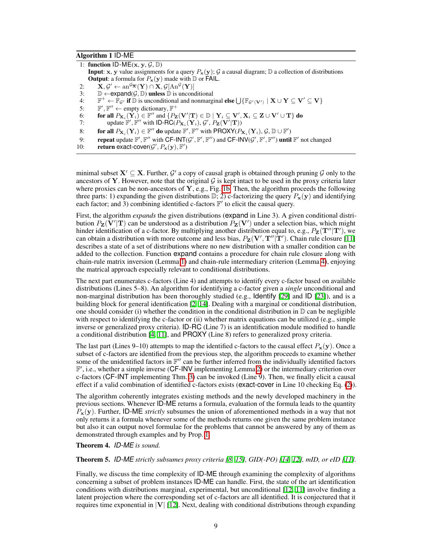#### <span id="page-8-0"></span>Algorithm 1 ID-ME

|     | 1: function ID-ME(x, y, $\mathcal{G}, \mathbb{D}$ )                                                                                                                                                                                         |
|-----|---------------------------------------------------------------------------------------------------------------------------------------------------------------------------------------------------------------------------------------------|
|     | <b>Input:</b> x, y value assignments for a query $P_x(y)$ ; G a causal diagram; D a collection of distributions                                                                                                                             |
|     | <b>Output:</b> a formula for $P_x(y)$ made with $D$ or FAIL.                                                                                                                                                                                |
| 2:  | $\mathbf{X}, \mathcal{G}' \leftarrow \text{an}^{\mathcal{G}_{\overline{\mathbf{X}}}}(\mathbf{Y}) \cap \mathbf{X}, \mathcal{G}[\text{An}^{\mathcal{G}}(\mathbf{Y})]$                                                                         |
| 3:  | $\mathbb{D} \leftarrow$ expand(G, $\mathbb{D}$ ) unless $\mathbb{D}$ is unconditional                                                                                                                                                       |
| 4:  | $\mathbb{F}^+ \leftarrow \mathbb{F}_{\mathcal{G}'}$ if $\mathbb D$ is unconditional and nonmarginal else $\bigcup \{\mathbb{F}_{\mathcal{G}'(\mathbf{V}')} \mid \mathbf{X} \cup \mathbf{Y} \subseteq \mathbf{V}' \subseteq \mathbf{V}\}\$   |
| 5:  | $\mathbb{F}', \mathbb{F}'' \leftarrow$ empty dictionary, $\mathbb{F}^+$                                                                                                                                                                     |
| 6:  | for all $P_{\mathbf{X}_i}(\mathbf{Y}_i) \in \mathbb{F}''$ and $\{P_{\mathbf{Z}}(\mathbf{V}'   \mathbf{T}) \in \mathbb{D} \mid \mathbf{Y}_i \subseteq \mathbf{V}', \mathbf{X}_i \subseteq \mathbf{Z} \cup \mathbf{V}' \cup \mathbf{T}\}\$ do |
| 7:  | update $\mathbb{F}', \mathbb{F}''$ with ID-RC( $P_{\mathbf{X}_i}(\mathbf{Y}_i), \mathcal{G}', P_{\mathbf{Z}}(\mathbf{V}' \mathbf{T}))$                                                                                                      |
| 8:  | for all $P_{\mathbf{X}_i}(\mathbf{Y}_i) \in \mathbb{F}''$ do update $\mathbb{F}', \mathbb{F}''$ with PROXY $(P_{\mathbf{X}_i}(\mathbf{Y}_i), \mathcal{G}, \mathbb{D} \cup \mathbb{F}')$                                                     |
| 9:  | <b>repeat</b> update $\mathbb{F}'$ , $\mathbb{F}''$ with $CF\text{-}INT(G', \mathbb{F}', \mathbb{F}'')$ and $CF\text{-}INV(G', \mathbb{F}', \mathbb{F}'')$ until $\mathbb{F}'$ not changed                                                  |
| 10: | return exact-cover( $\mathcal{G}', P_{\mathbf{x}}(\mathbf{y}), \mathbb{F}'$ )                                                                                                                                                               |

minimal subset  $X' \subseteq X$ . Further,  $G'$  a copy of causal graph is obtained through pruning  $G$  only to the ancestors of **Y**. However, note that the original  $\mathcal{G}$  is kept intact to be used in the proxy criteria later where proxies can be non-ancestors of Y, e.g., Fig.  $\overline{[1b]}$ . Then, the algorithm proceeds the following three parts: 1) expanding the given distributions  $\mathbb{D}$ ; 2) c-factorizing the query  $P_x(y)$  and identifying each factor; and 3) combining identified c-factors  $\mathbb{F}'$  to elicit the causal query.

First, the algorithm *expands* the given distributions (expand in Line 3). A given conditional distribution  $P_{\mathbf{Z}}(\mathbf{V}'|\mathbf{T})$  can be understood as a distribution  $P_{\mathbf{Z}}(\mathbf{V}')$  under a selection bias, which might hinder identification of a c-factor. By multiplying another distribution equal to, e.g.,  $P_Z(\mathbf{T}''|\mathbf{T}')$ , we can obtain a distribution with more outcome and less bias,  $P_{\mathbf{Z}}(\mathbf{V}', \mathbf{T}'' | \mathbf{T}')$ . Chain rule closure [\[11\]](#page-10-8) describes a state of a set of distributions where no new distribution with a smaller condition can be added to the collection. Function expand contains a procedure for chain rule closure along with chain-rule matrix inversion (Lemma  $\Pi$ ) and chain-rule intermediary criterion (Lemma  $\Xi$ ), enjoying the matrical approach especially relevant to conditional distributions.

The next part enumerates c-factors (Line 4) and attempts to identify every c-factor based on available distributions (Lines 5–8). An algorithm for identifying a c-factor given a *single* unconditional and non-marginal distribution has been thoroughly studied (e.g., Identify  $[29]$  and ID  $[23]$ ), and is a building block for general identification  $\sqrt{2}$ ,  $\sqrt{14}$ . Dealing with a marginal or conditional distribution, one should consider (i) whether the condition in the conditional distribution in  $\mathbb D$  can be negligible with respect to identifying the c-factor or (ii) whether matrix equations can be utilized (e.g., simple inverse or generalized proxy criteria). ID-RC (Line 7) is an identification module modified to handle a conditional distribution  $[4, 11]$  $[4, 11]$ , and PROXY (Line 8) refers to generalized proxy criteria.

The last part (Lines 9–10) attempts to map the identified c-factors to the causal effect  $P_x(y)$ . Once a subset of c-factors are identified from the previous step, the algorithm proceeds to examine whether some of the unidentified factors in  $\mathbb{F}^{\prime\prime}$  can be further inferred from the individually identified factors  $\mathbb{F}'$ , i.e., whether a simple inverse (CF-INV implementing Lemma $2$ ) or the intermediary criterion over c-factors (CF-INT implementing Thm.  $\overline{3}$ ) can be invoked (Line 9). Then, we finally elicit a causal effect if a valid combination of identified c-factors exists (exact-cover in Line 10 checking Eq.  $(\overline{2})$ ).

The algorithm coherently integrates existing methods and the newly developed machinery in the previous sections. Whenever ID-ME returns a formula, evaluation of the formula leads to the quantity *P*x(y). Further, ID-ME *strictly* subsumes the union of aforementioned methods in a way that not only returns it a formula whenever some of the methods returns one given the same problem instance but also it can output novel formulae for the problems that cannot be answered by any of them as demonstrated through examples and by Prop. <sup>1</sup>.

Theorem 4. *ID-ME is sound.*

**Theorem 5.** *ID-ME strictly subsumes proxy criteria*  $\sqrt{8}$  $\sqrt{5}$ *, GID(-PO)*  $\sqrt{14}$  $\sqrt{12}$ *, mID, or eID*  $\sqrt{11}$ *l*.

Finally, we discuss the time complexity of ID-ME through examining the complexity of algorithms concerning a subset of problem instances ID-ME can handle. First, the state of the art identification conditions with distributions marginal, experimental, but unconditional  $[12, 11]$  $[12, 11]$  $[12, 11]$  involve finding a latent projection where the corresponding set of c-factors are all identified. It is conjectured that it requires time exponential in *|*V*|* [\[12\]](#page-10-7). Next, dealing with conditional distributions through expanding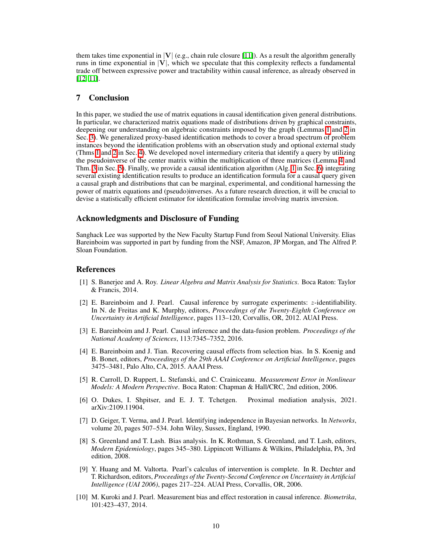them takes time exponential in  $|V|$  (e.g., chain rule closure  $|11|$ ). As a result the algorithm generally runs in time exponential in *|*V*|*, which we speculate that this complexity reflects a fundamental trade off between expressive power and tractability within causal inference, as already observed in  $[12, 11]$  $[12, 11]$ .

# 7 Conclusion

In this paper, we studied the use of matrix equations in causal identification given general distributions. In particular, we characterized matrix equations made of distributions driven by graphical constraints, deepening our understanding on algebraic constraints imposed by the graph (Lemmas  $\overline{1}$  and  $\overline{2}$  in Sec. [3\)](#page-2-0). We generalized proxy-based identification methods to cover a broad spectrum of problem instances beyond the identification problems with an observation study and optional external study (Thms  $\Pi$  and  $\Pi$  in Sec.  $\Pi$ ). We developed novel intermediary criteria that identify a query by utilizing the pseudoinverse of the center matrix within the multiplication of three matrices (Lemma  $\overline{A}$  and Thm.  $\overline{3}$  in Sec.  $\overline{5}$ ). Finally, we provide a causal identification algorithm (Alg.  $\Pi$  in Sec.  $\overline{6}$ ) integrating several existing identification results to produce an identification formula for a causal query given a causal graph and distributions that can be marginal, experimental, and conditional harnessing the power of matrix equations and (pseudo)inverses. As a future research direction, it will be crucial to devise a statistically efficient estimator for identification formulae involving matrix inversion.

### Acknowledgments and Disclosure of Funding

Sanghack Lee was supported by the New Faculty Startup Fund from Seoul National University. Elias Bareinboim was supported in part by funding from the NSF, Amazon, JP Morgan, and The Alfred P. Sloan Foundation.

#### References

- <span id="page-9-8"></span>[1] S. Banerjee and A. Roy. *Linear Algebra and Matrix Analysis for Statistics*. Boca Raton: Taylor & Francis, 2014.
- <span id="page-9-2"></span>[2] E. Bareinboim and J. Pearl. Causal inference by surrogate experiments: *z*-identifiability. In N. de Freitas and K. Murphy, editors, *Proceedings of the Twenty-Eighth Conference on Uncertainty in Artificial Intelligence*, pages 113–120, Corvallis, OR, 2012. AUAI Press.
- <span id="page-9-0"></span>[3] E. Bareinboim and J. Pearl. Causal inference and the data-fusion problem. *Proceedings of the National Academy of Sciences*, 113:7345–7352, 2016.
- <span id="page-9-9"></span>[4] E. Bareinboim and J. Tian. Recovering causal effects from selection bias. In S. Koenig and B. Bonet, editors, *Proceedings of the 29th AAAI Conference on Artificial Intelligence*, pages 3475–3481, Palo Alto, CA, 2015. AAAI Press.
- <span id="page-9-3"></span>[5] R. Carroll, D. Ruppert, L. Stefanski, and C. Crainiceanu. *Measurement Error in Nonlinear Models: A Modern Perspective*. Boca Raton: Chapman & Hall/CRC, 2nd edition, 2006.
- <span id="page-9-6"></span>[6] O. Dukes, I. Shpitser, and E. J. T. Tchetgen. Proximal mediation analysis, 2021. arXiv:2109.11904.
- <span id="page-9-7"></span>[7] D. Geiger, T. Verma, and J. Pearl. Identifying independence in Bayesian networks. In *Networks*, volume 20, pages 507–534. John Wiley, Sussex, England, 1990.
- <span id="page-9-4"></span>[8] S. Greenland and T. Lash. Bias analysis. In K. Rothman, S. Greenland, and T. Lash, editors, *Modern Epidemiology*, pages 345–380. Lippincott Williams & Wilkins, Philadelphia, PA, 3rd edition, 2008.
- <span id="page-9-1"></span>[9] Y. Huang and M. Valtorta. Pearl's calculus of intervention is complete. In R. Dechter and T. Richardson, editors, *Proceedings of the Twenty-Second Conference on Uncertainty in Artificial Intelligence (UAI 2006)*, pages 217–224. AUAI Press, Corvallis, OR, 2006.
- <span id="page-9-5"></span>[10] M. Kuroki and J. Pearl. Measurement bias and effect restoration in causal inference. *Biometrika*, 101:423–437, 2014.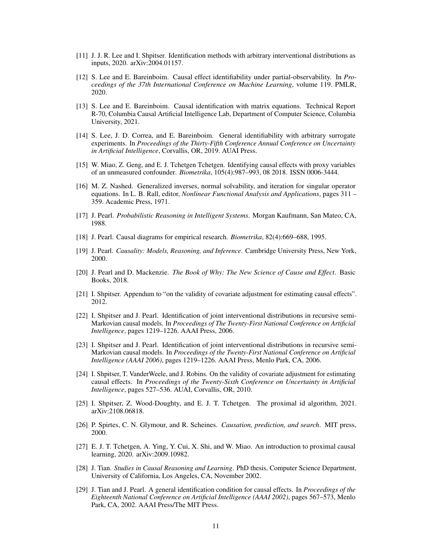- <span id="page-10-8"></span>[11] J. J. R. Lee and I. Shpitser. Identification methods with arbitrary interventional distributions as inputs, 2020. arXiv:2004.01157.
- <span id="page-10-7"></span>[12] S. Lee and E. Bareinboim. Causal effect identifiability under partial-observability. In *Proceedings of the 37th International Conference on Machine Learning*, volume 119. PMLR, 2020.
- <span id="page-10-12"></span>[13] S. Lee and E. Bareinboim. Causal identification with matrix equations. Technical Report R-70, Columbia Causal Artificial Intelligence Lab, Department of Computer Science, Columbia University, 2021.
- <span id="page-10-6"></span>[14] S. Lee, J. D. Correa, and E. Bareinboim. General identifiability with arbitrary surrogate experiments. In *Proceedings of the Thirty-Fifth Conference Annual Conference on Uncertainty in Artificial Intelligence*, Corvallis, OR, 2019. AUAI Press.
- <span id="page-10-9"></span>[15] W. Miao, Z. Geng, and E. J. Tchetgen Tchetgen. Identifying causal effects with proxy variables of an unmeasured confounder. *Biometrika*, 105(4):987–993, 08 2018. ISSN 0006-3444.
- <span id="page-10-15"></span>[16] M. Z. Nashed. Generalized inverses, normal solvability, and iteration for singular operator equations. In L. B. Rall, editor, *Nonlinear Functional Analysis and Applications*, pages 311 – 359. Academic Press, 1971.
- [17] J. Pearl. *Probabilistic Reasoning in Intelligent Systems*. Morgan Kaufmann, San Mateo, CA, 1988.
- <span id="page-10-3"></span>[18] J. Pearl. Causal diagrams for empirical research. *Biometrika*, 82(4):669–688, 1995.
- <span id="page-10-0"></span>[19] J. Pearl. *Causality: Models, Reasoning, and Inference*. Cambridge University Press, New York, 2000.
- <span id="page-10-2"></span>[20] J. Pearl and D. Mackenzie. *The Book of Why: The New Science of Cause and Effect*. Basic Books, 2018.
- [21] I. Shpitser. Appendum to "on the validity of covariate adjustment for estimating causal effects". 2012.
- [22] I. Shpitser and J. Pearl. Identification of joint interventional distributions in recursive semi-Markovian causal models. In *Proceedings of The Twenty-First National Conference on Artificial Intelligence*, pages 1219–1226. AAAI Press, 2006.
- <span id="page-10-5"></span>[23] I. Shpitser and J. Pearl. Identification of joint interventional distributions in recursive semi-Markovian causal models. In *Proceedings of the Twenty-First National Conference on Artificial Intelligence (AAAI 2006)*, pages 1219–1226. AAAI Press, Menlo Park, CA, 2006.
- <span id="page-10-13"></span>[24] I. Shpitser, T. VanderWeele, and J. Robins. On the validity of covariate adjustment for estimating causal effects. In *Proceedings of the Twenty-Sixth Conference on Uncertainty in Artificial Intelligence*, pages 527–536. AUAI, Corvallis, OR, 2010.
- <span id="page-10-10"></span>[25] I. Shpitser, Z. Wood-Doughty, and E. J. T. Tchetgen. The proximal id algorithm, 2021. arXiv:2108.06818.
- <span id="page-10-1"></span>[26] P. Spirtes, C. N. Glymour, and R. Scheines. *Causation, prediction, and search*. MIT press, 2000.
- <span id="page-10-11"></span>[27] E. J. T. Tchetgen, A. Ying, Y. Cui, X. Shi, and W. Miao. An introduction to proximal causal learning, 2020. arXiv:2009.10982.
- <span id="page-10-14"></span>[28] J. Tian. *Studies in Causal Reasoning and Learning*. PhD thesis, Computer Science Department, University of California, Los Angeles, CA, November 2002.
- <span id="page-10-4"></span>[29] J. Tian and J. Pearl. A general identification condition for causal effects. In *Proceedings of the Eighteenth National Conference on Artificial Intelligence (AAAI 2002)*, pages 567–573, Menlo Park, CA, 2002. AAAI Press/The MIT Press.